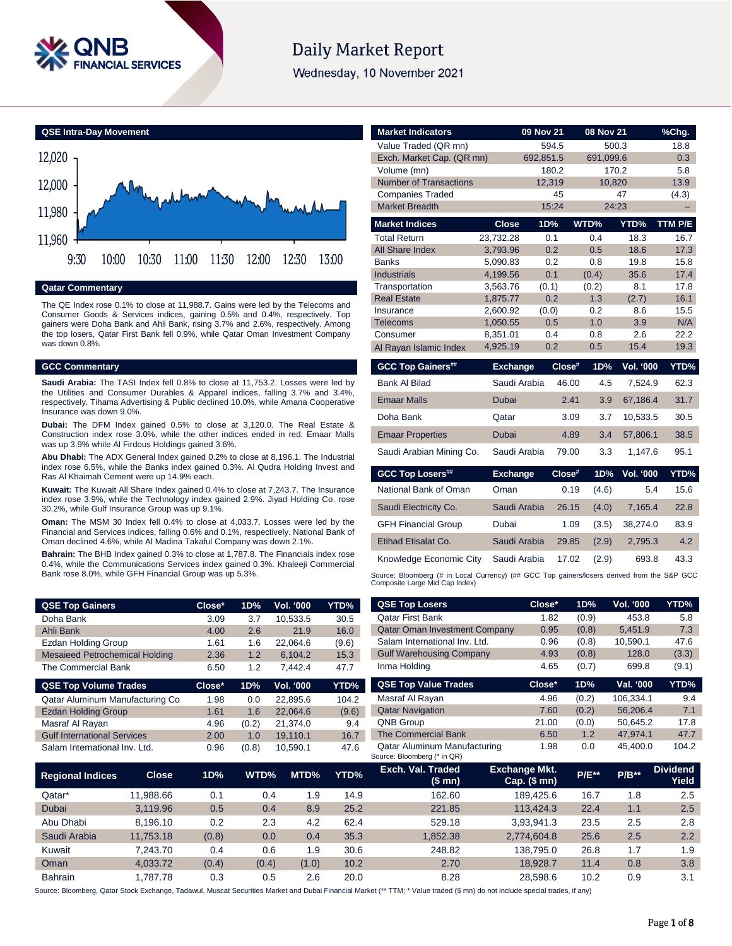

# **Daily Market Report**

Wednesday, 10 November 2021



#### **Qatar Commentary**

The QE Index rose 0.1% to close at 11,988.7. Gains were led by the Telecoms and Consumer Goods & Services indices, gaining 0.5% and 0.4%, respectively. Top gainers were Doha Bank and Ahli Bank, rising 3.7% and 2.6%, respectively. Among the top losers, Qatar First Bank fell 0.9%, while Qatar Oman Investment Company was down 0.8%.

#### **GCC Commentary**

**Saudi Arabia:** The TASI Index fell 0.8% to close at 11,753.2. Losses were led by the Utilities and Consumer Durables & Apparel indices, falling 3.7% and 3.4%, respectively. Tihama Advertising & Public declined 10.0%, while Amana Cooperative Insurance was down 9.0%.

**Dubai:** The DFM Index gained 0.5% to close at 3,120.0. The Real Estate & Construction index rose 3.0%, while the other indices ended in red. Emaar Malls was up 3.9% while Al Firdous Holdings gained 3.6%.

**Abu Dhabi:** The ADX General Index gained 0.2% to close at 8,196.1. The Industrial index rose 6.5%, while the Banks index gained 0.3%. Al Qudra Holding Invest and Ras Al Khaimah Cement were up 14.9% each.

**Kuwait:** The Kuwait All Share Index gained 0.4% to close at 7,243.7. The Insurance index rose 3.9%, while the Technology index gained 2.9%. Jiyad Holding Co. rose 30.2%, while Gulf Insurance Group was up 9.1%.

**Oman:** The MSM 30 Index fell 0.4% to close at 4,033.7. Losses were led by the Financial and Services indices, falling 0.6% and 0.1%, respectively. National Bank of Oman declined 4.6%, while Al Madina Takaful Company was down 2.1%.

**Bahrain:** The BHB Index gained 0.3% to close at 1,787.8. The Financials index rose 0.4%, while the Communications Services index gained 0.3%. Khaleeji Commercial Bank rose 8.0%, while GFH Financial Group was up 5.3%.

| <b>QSE Top Gainers</b>                | Close* | 1D% | <b>Vol. '000</b> | YTD%  |
|---------------------------------------|--------|-----|------------------|-------|
| Doha Bank                             | 3.09   | 3.7 | 10.533.5         | 30.5  |
| Ahli Bank                             | 4.00   | 26  | 21.9             | 16.0  |
| <b>Ezdan Holding Group</b>            | 1.61   | 1.6 | 22.064.6         | (9.6) |
| <b>Mesaieed Petrochemical Holding</b> | 2.36   | 1.2 | 6.104.2          | 15.3  |
| The Commercial Bank                   | 6.50   | 1.2 | 7.442.4          | 47.7  |

| <b>QSE Top Volume Trades</b>       | Close* | 1D%   | <b>Vol. '000</b> | YTD%  |
|------------------------------------|--------|-------|------------------|-------|
| Qatar Aluminum Manufacturing Co    | 1.98   | 0.0   | 22.895.6         | 104.2 |
| <b>Ezdan Holding Group</b>         | 1.61   | 1.6   | 22.064.6         | (9.6) |
| Masraf Al Rayan                    | 4.96   | (0.2) | 21.374.0         | 9.4   |
| <b>Gulf International Services</b> | 2.00   | 1.0   | 19.110.1         | 16.7  |
| Salam International Inv. Ltd.      | 0.96   | (0.8) | 10.590.1         | 47.6  |

| <b>Market Indicators</b>      |                 | 09 Nov 21 |        | 08 Nov 21 |                  | %Chg.   |
|-------------------------------|-----------------|-----------|--------|-----------|------------------|---------|
| Value Traded (QR mn)          |                 |           | 594.5  |           | 500.3            | 18.8    |
| Exch. Market Cap. (QR mn)     |                 | 692,851.5 |        | 691,099.6 |                  | 0.3     |
| Volume (mn)                   |                 |           | 180.2  |           | 170.2            | 5.8     |
| <b>Number of Transactions</b> |                 |           | 12,319 | 10,820    |                  | 13.9    |
| <b>Companies Traded</b>       |                 |           | 45     |           | 47               | (4.3)   |
| <b>Market Breadth</b>         |                 |           | 15:24  |           | 24:23            |         |
| <b>Market Indices</b>         | <b>Close</b>    | 1D%       |        | WTD%      | YTD%             | TTM P/E |
| <b>Total Return</b>           | 23,732.28       |           | 0.1    | 0.4       | 18.3             | 16.7    |
| All Share Index               | 3,793.96        |           | 0.2    | 0.5       | 18.6             | 17.3    |
| <b>Banks</b>                  | 5,090.83        |           | 0.2    | 0.8       | 19.8             | 15.8    |
| <b>Industrials</b>            | 4,199.56        |           | 0.1    | (0.4)     | 35.6             | 17.4    |
| Transportation                | 3,563.76        | (0.1)     |        | (0.2)     | 8.1              | 17.8    |
| <b>Real Estate</b>            | 1,875.77        |           | 0.2    | 1.3       | (2.7)            | 16.1    |
| Insurance                     | 2.600.92        | (0.0)     |        | 0.2       | 8.6              | 15.5    |
| <b>Telecoms</b>               | 1,050.55        |           | 0.5    | 1.0       | 3.9              | N/A     |
| Consumer                      | 8,351.01        |           | 0.4    | 0.8       | 2.6              | 22.2    |
| Al Rayan Islamic Index        | 4,925.19        |           | 0.2    | 0.5       | 15.4             | 19.3    |
| <b>GCC Top Gainers##</b>      | <b>Exchange</b> |           | Close# | 1D%       | <b>Vol. '000</b> | YTD%    |
| <b>Bank Al Bilad</b>          | Saudi Arabia    |           | 46.00  | 4.5       | 7,524.9          | 62.3    |
| <b>Emaar Malls</b>            | <b>Dubai</b>    |           | 2.41   | 3.9       | 67,186.4         | 31.7    |
| Doha Bank                     | Qatar           |           | 3.09   | 3.7       | 10,533.5         | 30.5    |
| <b>Emaar Properties</b>       | Dubai           |           | 4.89   | 3.4       | 57,806.1         | 38.5    |
| Saudi Arabian Mining Co.      | Saudi Arabia    |           | 79.00  | 3.3       | 1,147.6          | 95.1    |
| <b>GCC Top Losers##</b>       | <b>Exchange</b> |           | Close# | 1D%       | <b>Vol. '000</b> | YTD%    |
| National Bank of Oman         | Oman            |           | 0.19   | (4.6)     | 5.4              | 15.6    |
| Saudi Electricity Co.         | Saudi Arabia    |           | 26.15  | (4.0)     | 7,165.4          | 22.8    |
| <b>GFH Financial Group</b>    | Dubai           |           | 1.09   | (3.5)     | 38,274.0         | 83.9    |
| Etihad Etisalat Co.           | Saudi Arabia    |           | 29.85  | (2.9)     | 2.795.3          | 4.2     |

Knowledge Economic City Saudi Arabia 17.02 (2.9) 693.8 43.3 Source: Bloomberg (# in Local Currency) (## GCC Top gainers/losers derived from the S&P GCC<br>Composite Large Mid Cap Index)

| <b>QSE Top Gainers</b>                |              | Close* | 1D%   | Vol. '000 | YTD%        | <b>QSE Top Losers</b>                                       | Close*                               | 1D%     | Vol. '000 | YTD%                            |
|---------------------------------------|--------------|--------|-------|-----------|-------------|-------------------------------------------------------------|--------------------------------------|---------|-----------|---------------------------------|
| Doha Bank                             |              | 3.09   | 3.7   | 10,533.5  | 30.5        | <b>Qatar First Bank</b>                                     | 1.82                                 | (0.9)   | 453.8     | 5.8                             |
| Ahli Bank                             |              | 4.00   | 2.6   | 21.9      | 16.0        | <b>Qatar Oman Investment Company</b>                        | 0.95                                 | (0.8)   | 5,451.9   | 7.3                             |
| Ezdan Holding Group                   |              | 1.61   | 1.6   | 22,064.6  | (9.6)       | Salam International Inv. Ltd.                               | 0.96                                 | (0.8)   | 10,590.1  | 47.6                            |
| <b>Mesaieed Petrochemical Holding</b> |              | 2.36   | 1.2   | 6,104.2   | 15.3        | <b>Gulf Warehousing Company</b>                             | 4.93                                 | (0.8)   | 128.0     | (3.3)                           |
| The Commercial Bank                   |              | 6.50   | 1.2   | 7,442.4   | 47.7        | Inma Holding                                                | 4.65                                 | (0.7)   | 699.8     | (9.1)                           |
| <b>QSE Top Volume Trades</b>          |              | Close* | 1D%   | Vol. '000 | YTD%        | <b>QSE Top Value Trades</b>                                 | Close*                               | 1D%     | Val. '000 | YTD%                            |
| Qatar Aluminum Manufacturing Co       |              | 1.98   | 0.0   | 22,895.6  | 104.2       | Masraf Al Rayan                                             | 4.96                                 | (0.2)   | 106,334.1 | 9.4                             |
| <b>Ezdan Holding Group</b>            |              | 1.61   | 1.6   | 22,064.6  | (9.6)       | <b>Qatar Navigation</b>                                     | 7.60                                 | (0.2)   | 56,206.4  | 7.1                             |
| Masraf Al Rayan                       |              | 4.96   | (0.2) | 21,374.0  | 9.4         | <b>QNB Group</b>                                            | 21.00                                | (0.0)   | 50,645.2  | 17.8                            |
| <b>Gulf International Services</b>    |              | 2.00   | 1.0   | 19,110.1  | 16.7        | <b>The Commercial Bank</b>                                  | 6.50                                 | 1.2     | 47,974.1  | 47.7                            |
| Salam International Inv. Ltd.         |              | 0.96   | (0.8) | 10,590.1  | 47.6        | Qatar Aluminum Manufacturing<br>Source: Bloomberg (* in QR) | 1.98                                 | 0.0     | 45,400.0  | 104.2                           |
| <b>Regional Indices</b>               | <b>Close</b> | 1D%    | WTD%  | MTD%      | YTD%        | Exch. Val. Traded<br>(\$mn)                                 | <b>Exchange Mkt.</b><br>Cap. $($mn)$ | $P/E**$ | $P/B***$  | <b>Dividend</b><br><b>Yield</b> |
| Qatar*                                | 11,988.66    | 0.1    |       | 0.4       | 14.9<br>1.9 | 162.60                                                      | 189,425.6                            | 16.7    | 1.8       | 2.5                             |
| Dubai                                 | 3.119.96     | 0.5    |       | 0.4       | 8.9<br>25.2 | 221.85                                                      | 113.424.3                            | 22.4    | 1.1       | 2.5                             |
|                                       |              |        |       |           |             |                                                             |                                      |         |           |                                 |

Bahrain 1,787.78 0.3 0.5 2.6 20.0 8.28 28,598.6 10.2 0.9 3.1 Source: Bloomberg, Qatar Stock Exchange, Tadawul, Muscat Securities Market and Dubai Financial Market (\*\* TTM; \* Value traded (\$ mn) do not include special trades, if any)

Abu Dhabi 8,196.10 0.2 2.3 4.2 62.4 529.18 3,93,941.3 23.5 2.5 2.8 Saudi Arabia 11,753.18 (0.8) 0.0 0.4 35.3 1,852.38 2,774,604.8 25.6 2.5 2.2 Kuwait 7,243.70 0.4 0.6 1.9 30.6 248.82 138,795.0 26.8 1.7 1.9 Oman 4,033.72 (0.4) (0.4) (1.0) 10.2 2.70 18,928.7 11.4 0.8 3.8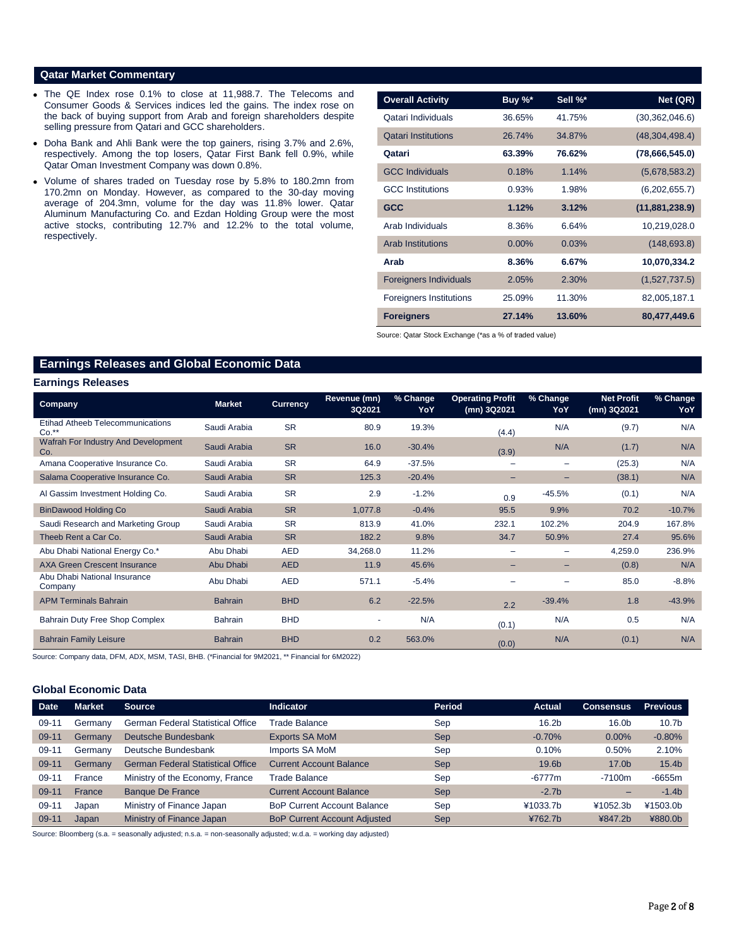### **Qatar Market Commentary**

- The QE Index rose 0.1% to close at 11,988.7. The Telecoms and Consumer Goods & Services indices led the gains. The index rose on the back of buying support from Arab and foreign shareholders despite selling pressure from Qatari and GCC shareholders.
- Doha Bank and Ahli Bank were the top gainers, rising 3.7% and 2.6%, respectively. Among the top losers, Qatar First Bank fell 0.9%, while Qatar Oman Investment Company was down 0.8%.
- Volume of shares traded on Tuesday rose by 5.8% to 180.2mn from 170.2mn on Monday. However, as compared to the 30-day moving average of 204.3mn, volume for the day was 11.8% lower. Qatar Aluminum Manufacturing Co. and Ezdan Holding Group were the most active stocks, contributing 12.7% and 12.2% to the total volume, respectively.

| <b>Overall Activity</b>        | Buy $\%^*$ | Sell %* | Net (QR)         |
|--------------------------------|------------|---------|------------------|
| Qatari Individuals             | 36.65%     | 41.75%  | (30, 362, 046.6) |
| <b>Qatari Institutions</b>     | 26.74%     | 34.87%  | (48, 304, 498.4) |
| Qatari                         | 63.39%     | 76.62%  | (78,666,545.0)   |
| <b>GCC Individuals</b>         | 0.18%      | 1.14%   | (5,678,583.2)    |
| <b>GCC</b> Institutions        | 0.93%      | 1.98%   | (6,202,655.7)    |
| <b>GCC</b>                     | 1.12%      | 3.12%   | (11,881,238.9)   |
| Arab Individuals               | 8.36%      | 6.64%   | 10,219,028.0     |
| <b>Arab Institutions</b>       | $0.00\%$   | 0.03%   | (148, 693.8)     |
| Arab                           | 8.36%      | 6.67%   | 10,070,334.2     |
| <b>Foreigners Individuals</b>  | 2.05%      | 2.30%   | (1,527,737.5)    |
| <b>Foreigners Institutions</b> | 25.09%     | 11.30%  | 82,005,187.1     |
| <b>Foreigners</b>              | 27.14%     | 13.60%  | 80,477,449.6     |

Source: Qatar Stock Exchange (\*as a % of traded value)

# **Earnings Releases and Global Economic Data**

#### **Earnings Releases**

| <b>Company</b>                             | <b>Market</b>  | <b>Currency</b> | Revenue (mn)<br>3Q2021 | % Change<br>YoY | <b>Operating Profit</b><br>(mn) 3Q2021 | % Change<br>YoY | <b>Net Profit</b><br>(mn) 3Q2021 | % Change<br>YoY |
|--------------------------------------------|----------------|-----------------|------------------------|-----------------|----------------------------------------|-----------------|----------------------------------|-----------------|
| Etihad Atheeb Telecommunications<br>$Co.*$ | Saudi Arabia   | <b>SR</b>       | 80.9                   | 19.3%           | (4.4)                                  | N/A             | (9.7)                            | N/A             |
| Wafrah For Industry And Development<br>Co. | Saudi Arabia   | <b>SR</b>       | 16.0                   | $-30.4%$        | (3.9)                                  | N/A             | (1.7)                            | N/A             |
| Amana Cooperative Insurance Co.            | Saudi Arabia   | <b>SR</b>       | 64.9                   | $-37.5%$        |                                        |                 | (25.3)                           | N/A             |
| Salama Cooperative Insurance Co.           | Saudi Arabia   | <b>SR</b>       | 125.3                  | $-20.4%$        | $\overline{\phantom{0}}$               |                 | (38.1)                           | N/A             |
| Al Gassim Investment Holding Co.           | Saudi Arabia   | <b>SR</b>       | 2.9                    | $-1.2%$         | 0.9                                    | $-45.5%$        | (0.1)                            | N/A             |
| <b>BinDawood Holding Co</b>                | Saudi Arabia   | <b>SR</b>       | 1,077.8                | $-0.4%$         | 95.5                                   | 9.9%            | 70.2                             | $-10.7%$        |
| Saudi Research and Marketing Group         | Saudi Arabia   | <b>SR</b>       | 813.9                  | 41.0%           | 232.1                                  | 102.2%          | 204.9                            | 167.8%          |
| Theeb Rent a Car Co.                       | Saudi Arabia   | <b>SR</b>       | 182.2                  | 9.8%            | 34.7                                   | 50.9%           | 27.4                             | 95.6%           |
| Abu Dhabi National Energy Co.*             | Abu Dhabi      | <b>AED</b>      | 34,268.0               | 11.2%           |                                        |                 | 4,259.0                          | 236.9%          |
| <b>AXA Green Crescent Insurance</b>        | Abu Dhabi      | <b>AED</b>      | 11.9                   | 45.6%           |                                        |                 | (0.8)                            | N/A             |
| Abu Dhabi National Insurance<br>Company    | Abu Dhabi      | <b>AED</b>      | 571.1                  | $-5.4%$         |                                        |                 | 85.0                             | $-8.8%$         |
| <b>APM Terminals Bahrain</b>               | <b>Bahrain</b> | <b>BHD</b>      | 6.2                    | $-22.5%$        | 2.2                                    | $-39.4%$        | 1.8                              | $-43.9%$        |
| Bahrain Duty Free Shop Complex             | <b>Bahrain</b> | <b>BHD</b>      |                        | N/A             | (0.1)                                  | N/A             | 0.5                              | N/A             |
| <b>Bahrain Family Leisure</b>              | <b>Bahrain</b> | <b>BHD</b>      | 0.2                    | 563.0%          | (0.0)                                  | N/A             | (0.1)                            | N/A             |

Source: Company data, DFM, ADX, MSM, TASI, BHB. (\*Financial for 9M2021, \*\* Financial for 6M2022)

# **Global Economic Data**

| <b>Date</b> | <b>Market</b> | Source                                   | <b>Indicator</b>                    | <b>Period</b> | <b>Actual</b>     | <b>Consensus</b>  | <b>Previous</b>   |
|-------------|---------------|------------------------------------------|-------------------------------------|---------------|-------------------|-------------------|-------------------|
| $09-11$     | Germany       | <b>German Federal Statistical Office</b> | Trade Balance                       | Sep           | 16.2 <sub>b</sub> | 16.0 <sub>b</sub> | 10.7 <sub>b</sub> |
| $09 - 11$   | Germany       | Deutsche Bundesbank                      | <b>Exports SA MoM</b>               | <b>Sep</b>    | $-0.70%$          | 0.00%             | $-0.80%$          |
| $09 - 11$   | Germany       | Deutsche Bundesbank                      | Imports SA MoM                      | Sep           | 0.10%             | 0.50%             | 2.10%             |
| $09 - 11$   | Germany       | <b>German Federal Statistical Office</b> | <b>Current Account Balance</b>      | <b>Sep</b>    | 19.6b             | 17.0b             | 15.4 <sub>b</sub> |
| $09 - 11$   | France        | Ministry of the Economy, France          | <b>Trade Balance</b>                | Sep           | $-6777m$          | $-7100m$          | $-6655m$          |
| $09 - 11$   | France        | <b>Banque De France</b>                  | <b>Current Account Balance</b>      | <b>Sep</b>    | $-2.7b$           |                   | $-1.4b$           |
| $09-11$     | Japan         | Ministry of Finance Japan                | <b>BoP Current Account Balance</b>  | Sep           | ¥1033.7b          | ¥1052.3b          | ¥1503.0b          |
| $09 - 11$   | Japan         | Ministry of Finance Japan                | <b>BoP Current Account Adjusted</b> | <b>Sep</b>    | ¥762.7b           | ¥847.2b           | ¥880.0b           |

Source: Bloomberg (s.a. = seasonally adjusted; n.s.a. = non-seasonally adjusted; w.d.a. = working day adjusted)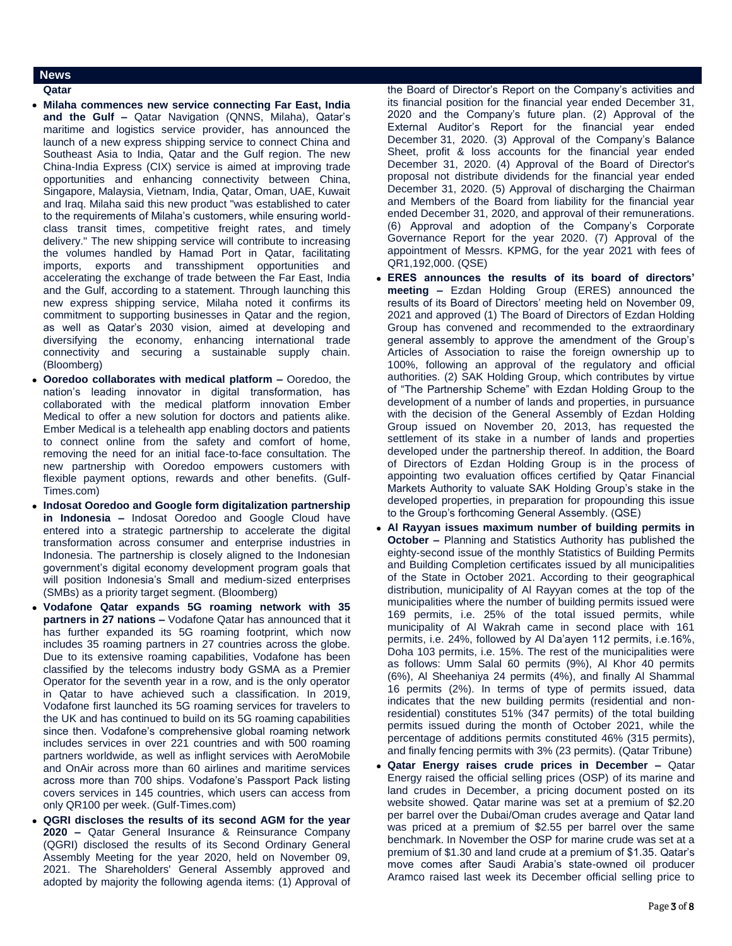## **News**

- **Qatar**
- **Milaha commences new service connecting Far East, India and the Gulf –** Qatar Navigation (QNNS, Milaha), Qatar's maritime and logistics service provider, has announced the launch of a new express shipping service to connect China and Southeast Asia to India, Qatar and the Gulf region. The new China-India Express (CIX) service is aimed at improving trade opportunities and enhancing connectivity between China, Singapore, Malaysia, Vietnam, India, Qatar, Oman, UAE, Kuwait and Iraq. Milaha said this new product "was established to cater to the requirements of Milaha's customers, while ensuring worldclass transit times, competitive freight rates, and timely delivery." The new shipping service will contribute to increasing the volumes handled by Hamad Port in Qatar, facilitating imports, exports and transshipment opportunities and accelerating the exchange of trade between the Far East, India and the Gulf, according to a statement. Through launching this new express shipping service, Milaha noted it confirms its commitment to supporting businesses in Qatar and the region, as well as Qatar's 2030 vision, aimed at developing and diversifying the economy, enhancing international trade connectivity and securing a sustainable supply chain. (Bloomberg)
- **Ooredoo collaborates with medical platform –** Ooredoo, the nation's leading innovator in digital transformation, has collaborated with the medical platform innovation Ember Medical to offer a new solution for doctors and patients alike. Ember Medical is a telehealth app enabling doctors and patients to connect online from the safety and comfort of home, removing the need for an initial face-to-face consultation. The new partnership with Ooredoo empowers customers with flexible payment options, rewards and other benefits. (Gulf-Times.com)
- **Indosat Ooredoo and Google form digitalization partnership in Indonesia –** Indosat Ooredoo and Google Cloud have entered into a strategic partnership to accelerate the digital transformation across consumer and enterprise industries in Indonesia. The partnership is closely aligned to the Indonesian government's digital economy development program goals that will position Indonesia's Small and medium-sized enterprises (SMBs) as a priority target segment. (Bloomberg)
- **Vodafone Qatar expands 5G roaming network with 35 partners in 27 nations –** Vodafone Qatar has announced that it has further expanded its 5G roaming footprint, which now includes 35 roaming partners in 27 countries across the globe. Due to its extensive roaming capabilities, Vodafone has been classified by the telecoms industry body GSMA as a Premier Operator for the seventh year in a row, and is the only operator in Qatar to have achieved such a classification. In 2019, Vodafone first launched its 5G roaming services for travelers to the UK and has continued to build on its 5G roaming capabilities since then. Vodafone's comprehensive global roaming network includes services in over 221 countries and with 500 roaming partners worldwide, as well as inflight services with AeroMobile and OnAir across more than 60 airlines and maritime services across more than 700 ships. Vodafone's Passport Pack listing covers services in 145 countries, which users can access from only QR100 per week. (Gulf-Times.com)
- **QGRI discloses the results of its second AGM for the year 2020 –** Qatar General Insurance & Reinsurance Company (QGRI) disclosed the results of its Second Ordinary General Assembly Meeting for the year 2020, held on November 09, 2021. The Shareholders' General Assembly approved and adopted by majority the following agenda items: (1) Approval of

the Board of Director's Report on the Company's activities and its financial position for the financial year ended December 31, 2020 and the Company's future plan. (2) Approval of the External Auditor's Report for the financial year ended December 31, 2020. (3) Approval of the Company's Balance Sheet, profit & loss accounts for the financial year ended December 31, 2020. (4) Approval of the Board of Director's proposal not distribute dividends for the financial year ended December 31, 2020. (5) Approval of discharging the Chairman and Members of the Board from liability for the financial year ended December 31, 2020, and approval of their remunerations. (6) Approval and adoption of the Company's Corporate Governance Report for the year 2020. (7) Approval of the appointment of Messrs. KPMG, for the year 2021 with fees of QR1,192,000. (QSE)

- **ERES announces the results of its board of directors' meeting –** Ezdan Holding Group (ERES) announced the results of its Board of Directors' meeting held on November 09, 2021 and approved (1) The Board of Directors of Ezdan Holding Group has convened and recommended to the extraordinary general assembly to approve the amendment of the Group's Articles of Association to raise the foreign ownership up to 100%, following an approval of the regulatory and official authorities. (2) SAK Holding Group, which contributes by virtue of "The Partnership Scheme" with Ezdan Holding Group to the development of a number of lands and properties, in pursuance with the decision of the General Assembly of Ezdan Holding Group issued on November 20, 2013, has requested the settlement of its stake in a number of lands and properties developed under the partnership thereof. In addition, the Board of Directors of Ezdan Holding Group is in the process of appointing two evaluation offices certified by Qatar Financial Markets Authority to valuate SAK Holding Group's stake in the developed properties, in preparation for propounding this issue to the Group's forthcoming General Assembly. (QSE)
- **Al Rayyan issues maximum number of building permits in October –** Planning and Statistics Authority has published the eighty-second issue of the monthly Statistics of Building Permits and Building Completion certificates issued by all municipalities of the State in October 2021. According to their geographical distribution, municipality of Al Rayyan comes at the top of the municipalities where the number of building permits issued were 169 permits, i.e. 25% of the total issued permits, while municipality of Al Wakrah came in second place with 161 permits, i.e. 24%, followed by Al Da'ayen 112 permits, i.e.16%, Doha 103 permits, i.e. 15%. The rest of the municipalities were as follows: Umm Salal 60 permits (9%), Al Khor 40 permits (6%), Al Sheehaniya 24 permits (4%), and finally Al Shammal 16 permits (2%). In terms of type of permits issued, data indicates that the new building permits (residential and nonresidential) constitutes 51% (347 permits) of the total building permits issued during the month of October 2021, while the percentage of additions permits constituted 46% (315 permits), and finally fencing permits with 3% (23 permits). (Qatar Tribune)
- **Qatar Energy raises crude prices in December –** Qatar Energy raised the official selling prices (OSP) of its marine and land crudes in December, a pricing document posted on its website showed. Qatar marine was set at a premium of \$2.20 per barrel over the Dubai/Oman crudes average and Qatar land was priced at a premium of \$2.55 per barrel over the same benchmark. In November the OSP for marine crude was set at a premium of \$1.30 and land crude at a premium of \$1.35. Qatar's move comes after Saudi Arabia's state-owned oil producer Aramco raised last week its December official selling price to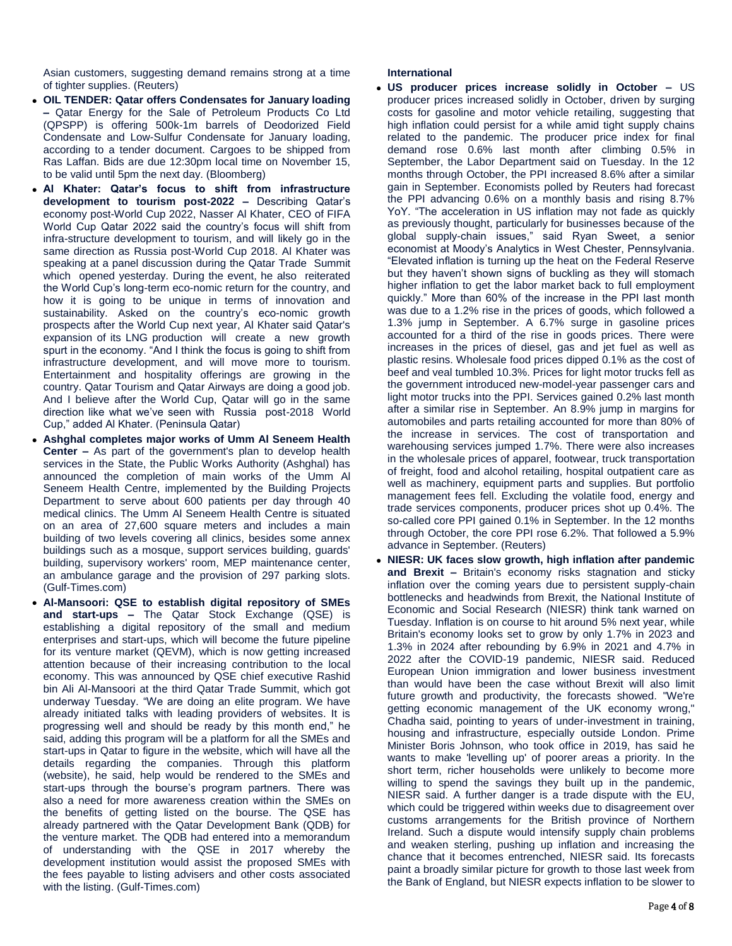Asian customers, suggesting demand remains strong at a time of tighter supplies. (Reuters)

- **OIL TENDER: Qatar offers Condensates for January loading –** Qatar Energy for the Sale of Petroleum Products Co Ltd (QPSPP) is offering 500k-1m barrels of Deodorized Field Condensate and Low-Sulfur Condensate for January loading, according to a tender document. Cargoes to be shipped from Ras Laffan. Bids are due 12:30pm local time on November 15, to be valid until 5pm the next day. (Bloomberg)
- **Al Khater: Qatar's focus to shift from infrastructure development to tourism post-2022 –** Describing Qatar's economy post-World Cup 2022, Nasser Al Khater, CEO of FIFA World Cup Qatar 2022 said the country's focus will shift from infra-structure development to tourism, and will likely go in the same direction as Russia post-World Cup 2018. Al Khater was speaking at a panel discussion during the Qatar Trade Summit which opened yesterday. During the event, he also reiterated the World Cup's long-term eco-nomic return for the country, and how it is going to be unique in terms of innovation and sustainability. Asked on the country's eco-nomic growth prospects after the World Cup next year, Al Khater said Qatar's expansion of its LNG production will create a new growth spurt in the economy. "And I think the focus is going to shift from infrastructure development, and will move more to tourism. Entertainment and hospitality offerings are growing in the country. Qatar Tourism and Qatar Airways are doing a good job. And I believe after the World Cup, Qatar will go in the same direction like what we've seen with Russia post-2018 World Cup," added Al Khater. (Peninsula Qatar)
- **Ashghal completes major works of Umm Al Seneem Health Center –** As part of the government's plan to develop health services in the State, the Public Works Authority (Ashghal) has announced the completion of main works of the Umm Al Seneem Health Centre, implemented by the Building Projects Department to serve about 600 patients per day through 40 medical clinics. The Umm Al Seneem Health Centre is situated on an area of 27,600 square meters and includes a main building of two levels covering all clinics, besides some annex buildings such as a mosque, support services building, guards' building, supervisory workers' room, MEP maintenance center, an ambulance garage and the provision of 297 parking slots. (Gulf-Times.com)
- **Al-Mansoori: QSE to establish digital repository of SMEs and start-ups –** The Qatar Stock Exchange (QSE) is establishing a digital repository of the small and medium enterprises and start-ups, which will become the future pipeline for its venture market (QEVM), which is now getting increased attention because of their increasing contribution to the local economy. This was announced by QSE chief executive Rashid bin Ali Al-Mansoori at the third Qatar Trade Summit, which got underway Tuesday. "We are doing an elite program. We have already initiated talks with leading providers of websites. It is progressing well and should be ready by this month end," he said, adding this program will be a platform for all the SMEs and start-ups in Qatar to figure in the website, which will have all the details regarding the companies. Through this platform (website), he said, help would be rendered to the SMEs and start-ups through the bourse's program partners. There was also a need for more awareness creation within the SMEs on the benefits of getting listed on the bourse. The QSE has already partnered with the Qatar Development Bank (QDB) for the venture market. The QDB had entered into a memorandum of understanding with the QSE in 2017 whereby the development institution would assist the proposed SMEs with the fees payable to listing advisers and other costs associated with the listing. (Gulf-Times.com)

### **International**

- **US producer prices increase solidly in October –** US producer prices increased solidly in October, driven by surging costs for gasoline and motor vehicle retailing, suggesting that high inflation could persist for a while amid tight supply chains related to the pandemic. The producer price index for final demand rose 0.6% last month after climbing 0.5% in September, the Labor Department said on Tuesday. In the 12 months through October, the PPI increased 8.6% after a similar gain in September. Economists polled by Reuters had forecast the PPI advancing 0.6% on a monthly basis and rising 8.7% YoY. "The acceleration in US inflation may not fade as quickly as previously thought, particularly for businesses because of the global supply-chain issues," said Ryan Sweet, a senior economist at Moody's Analytics in West Chester, Pennsylvania. "Elevated inflation is turning up the heat on the Federal Reserve but they haven't shown signs of buckling as they will stomach higher inflation to get the labor market back to full employment quickly." More than 60% of the increase in the PPI last month was due to a 1.2% rise in the prices of goods, which followed a 1.3% jump in September. A 6.7% surge in gasoline prices accounted for a third of the rise in goods prices. There were increases in the prices of diesel, gas and jet fuel as well as plastic resins. Wholesale food prices dipped 0.1% as the cost of beef and veal tumbled 10.3%. Prices for light motor trucks fell as the government introduced new-model-year passenger cars and light motor trucks into the PPI. Services gained 0.2% last month after a similar rise in September. An 8.9% jump in margins for automobiles and parts retailing accounted for more than 80% of the increase in services. The cost of transportation and warehousing services jumped 1.7%. There were also increases in the wholesale prices of apparel, footwear, truck transportation of freight, food and alcohol retailing, hospital outpatient care as well as machinery, equipment parts and supplies. But portfolio management fees fell. Excluding the volatile food, energy and trade services components, producer prices shot up 0.4%. The so-called core PPI gained 0.1% in September. In the 12 months through October, the core PPI rose 6.2%. That followed a 5.9% advance in September. (Reuters)
- **NIESR: UK faces slow growth, high inflation after pandemic and Brexit –** Britain's economy risks stagnation and sticky inflation over the coming years due to persistent supply-chain bottlenecks and headwinds from Brexit, the National Institute of Economic and Social Research (NIESR) think tank warned on Tuesday. Inflation is on course to hit around 5% next year, while Britain's economy looks set to grow by only 1.7% in 2023 and 1.3% in 2024 after rebounding by 6.9% in 2021 and 4.7% in 2022 after the COVID-19 pandemic, NIESR said. Reduced European Union immigration and lower business investment than would have been the case without Brexit will also limit future growth and productivity, the forecasts showed. "We're getting economic management of the UK economy wrong," Chadha said, pointing to years of under-investment in training, housing and infrastructure, especially outside London. Prime Minister Boris Johnson, who took office in 2019, has said he wants to make 'levelling up' of poorer areas a priority. In the short term, richer households were unlikely to become more willing to spend the savings they built up in the pandemic, NIESR said. A further danger is a trade dispute with the EU, which could be triggered within weeks due to disagreement over customs arrangements for the British province of Northern Ireland. Such a dispute would intensify supply chain problems and weaken sterling, pushing up inflation and increasing the chance that it becomes entrenched, NIESR said. Its forecasts paint a broadly similar picture for growth to those last week from the Bank of England, but NIESR expects inflation to be slower to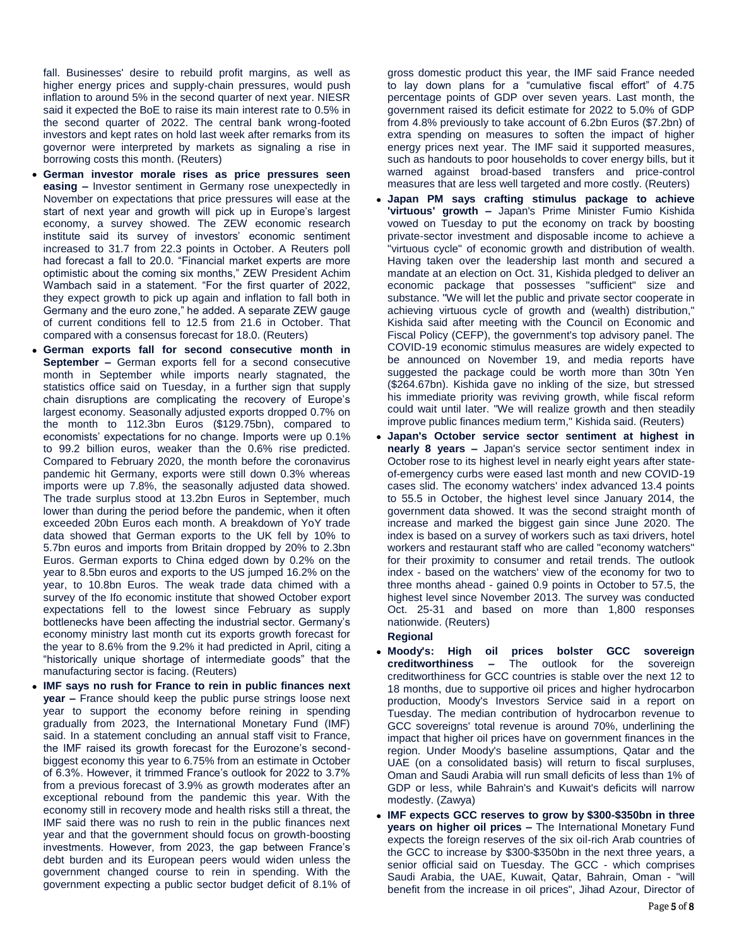fall. Businesses' desire to rebuild profit margins, as well as higher energy prices and supply-chain pressures, would push inflation to around 5% in the second quarter of next year. NIESR said it expected the BoE to raise its main interest rate to 0.5% in the second quarter of 2022. The central bank wrong-footed investors and kept rates on hold last week after remarks from its governor were interpreted by markets as signaling a rise in borrowing costs this month. (Reuters)

- **German investor morale rises as price pressures seen easing –** Investor sentiment in Germany rose unexpectedly in November on expectations that price pressures will ease at the start of next year and growth will pick up in Europe's largest economy, a survey showed. The ZEW economic research institute said its survey of investors' economic sentiment increased to 31.7 from 22.3 points in October. A Reuters poll had forecast a fall to 20.0. "Financial market experts are more optimistic about the coming six months," ZEW President Achim Wambach said in a statement. "For the first quarter of 2022, they expect growth to pick up again and inflation to fall both in Germany and the euro zone," he added. A separate ZEW gauge of current conditions fell to 12.5 from 21.6 in October. That compared with a consensus forecast for 18.0. (Reuters)
- **German exports fall for second consecutive month in September –** German exports fell for a second consecutive month in September while imports nearly stagnated, the statistics office said on Tuesday, in a further sign that supply chain disruptions are complicating the recovery of Europe's largest economy. Seasonally adjusted exports dropped 0.7% on the month to 112.3bn Euros (\$129.75bn), compared to economists' expectations for no change. Imports were up 0.1% to 99.2 billion euros, weaker than the 0.6% rise predicted. Compared to February 2020, the month before the coronavirus pandemic hit Germany, exports were still down 0.3% whereas imports were up 7.8%, the seasonally adjusted data showed. The trade surplus stood at 13.2bn Euros in September, much lower than during the period before the pandemic, when it often exceeded 20bn Euros each month. A breakdown of YoY trade data showed that German exports to the UK fell by 10% to 5.7bn euros and imports from Britain dropped by 20% to 2.3bn Euros. German exports to China edged down by 0.2% on the year to 8.5bn euros and exports to the US jumped 16.2% on the year, to 10.8bn Euros. The weak trade data chimed with a survey of the Ifo economic institute that showed October export expectations fell to the lowest since February as supply bottlenecks have been affecting the industrial sector. Germany's economy ministry last month cut its exports growth forecast for the year to 8.6% from the 9.2% it had predicted in April, citing a "historically unique shortage of intermediate goods" that the manufacturing sector is facing. (Reuters)
- **IMF says no rush for France to rein in public finances next year –** France should keep the public purse strings loose next year to support the economy before reining in spending gradually from 2023, the International Monetary Fund (IMF) said. In a statement concluding an annual staff visit to France, the IMF raised its growth forecast for the Eurozone's secondbiggest economy this year to 6.75% from an estimate in October of 6.3%. However, it trimmed France's outlook for 2022 to 3.7% from a previous forecast of 3.9% as growth moderates after an exceptional rebound from the pandemic this year. With the economy still in recovery mode and health risks still a threat, the IMF said there was no rush to rein in the public finances next year and that the government should focus on growth-boosting investments. However, from 2023, the gap between France's debt burden and its European peers would widen unless the government changed course to rein in spending. With the government expecting a public sector budget deficit of 8.1% of

gross domestic product this year, the IMF said France needed to lay down plans for a "cumulative fiscal effort" of 4.75 percentage points of GDP over seven years. Last month, the government raised its deficit estimate for 2022 to 5.0% of GDP from 4.8% previously to take account of 6.2bn Euros (\$7.2bn) of extra spending on measures to soften the impact of higher energy prices next year. The IMF said it supported measures, such as handouts to poor households to cover energy bills, but it warned against broad-based transfers and price-control measures that are less well targeted and more costly. (Reuters)

- **Japan PM says crafting stimulus package to achieve 'virtuous' growth –** Japan's Prime Minister Fumio Kishida vowed on Tuesday to put the economy on track by boosting private-sector investment and disposable income to achieve a "virtuous cycle" of economic growth and distribution of wealth. Having taken over the leadership last month and secured a mandate at an election on Oct. 31, Kishida pledged to deliver an economic package that possesses "sufficient" size and substance. "We will let the public and private sector cooperate in achieving virtuous cycle of growth and (wealth) distribution," Kishida said after meeting with the Council on Economic and Fiscal Policy (CEFP), the government's top advisory panel. The COVID-19 economic stimulus measures are widely expected to be announced on November 19, and media reports have suggested the package could be worth more than 30tn Yen (\$264.67bn). Kishida gave no inkling of the size, but stressed his immediate priority was reviving growth, while fiscal reform could wait until later. "We will realize growth and then steadily improve public finances medium term," Kishida said. (Reuters)
- **Japan's October service sector sentiment at highest in nearly 8 years –** Japan's service sector sentiment index in October rose to its highest level in nearly eight years after stateof-emergency curbs were eased last month and new COVID-19 cases slid. The economy watchers' index advanced 13.4 points to 55.5 in October, the highest level since January 2014, the government data showed. It was the second straight month of increase and marked the biggest gain since June 2020. The index is based on a survey of workers such as taxi drivers, hotel workers and restaurant staff who are called "economy watchers" for their proximity to consumer and retail trends. The outlook index - based on the watchers' view of the economy for two to three months ahead - gained 0.9 points in October to 57.5, the highest level since November 2013. The survey was conducted Oct. 25-31 and based on more than 1,800 responses nationwide. (Reuters) **Regional**
- **Moody's: High oil prices bolster GCC sovereign creditworthiness –** The outlook for the sovereign creditworthiness for GCC countries is stable over the next 12 to 18 months, due to supportive oil prices and higher hydrocarbon production, Moody's Investors Service said in a report on Tuesday. The median contribution of hydrocarbon revenue to GCC sovereigns' total revenue is around 70%, underlining the impact that higher oil prices have on government finances in the region. Under Moody's baseline assumptions, Qatar and the UAE (on a consolidated basis) will return to fiscal surpluses, Oman and Saudi Arabia will run small deficits of less than 1% of GDP or less, while Bahrain's and Kuwait's deficits will narrow modestly. (Zawya)
- **IMF expects GCC reserves to grow by \$300-\$350bn in three years on higher oil prices –** The International Monetary Fund expects the foreign reserves of the six oil-rich Arab countries of the GCC to increase by \$300-\$350bn in the next three years, a senior official said on Tuesday. The GCC - which comprises Saudi Arabia, the UAE, Kuwait, Qatar, Bahrain, Oman - "will benefit from the increase in oil prices", Jihad Azour, Director of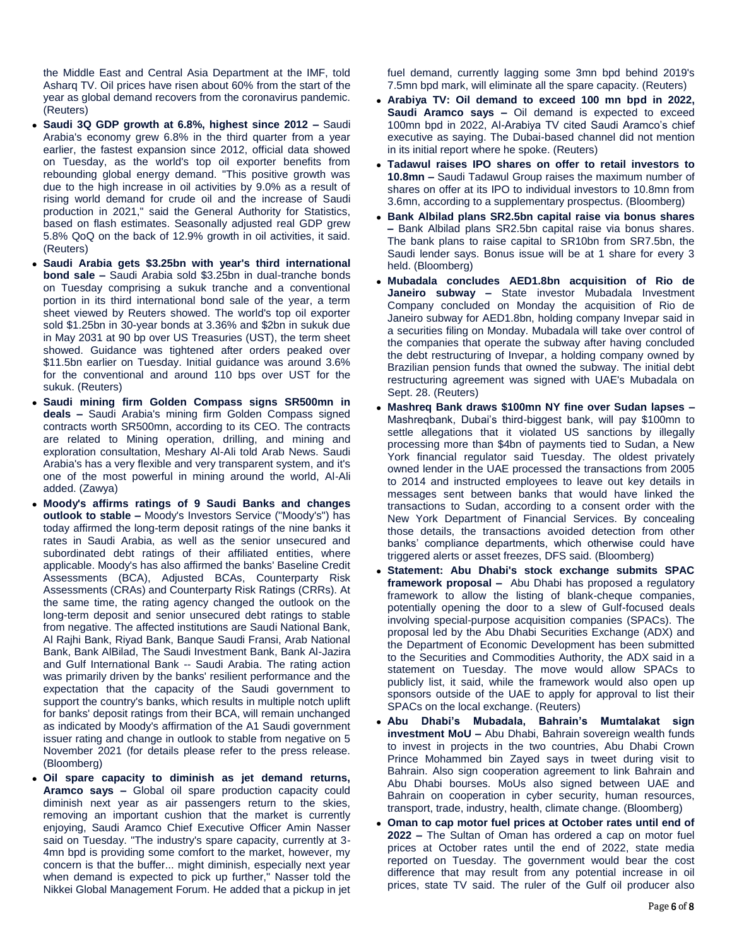the Middle East and Central Asia Department at the IMF, told Asharq TV. Oil prices have risen about 60% from the start of the year as global demand recovers from the coronavirus pandemic. (Reuters)

- **Saudi 3Q GDP growth at 6.8%, highest since 2012 –** Saudi Arabia's economy grew 6.8% in the third quarter from a year earlier, the fastest expansion since 2012, official data showed on Tuesday, as the world's top oil exporter benefits from rebounding global energy demand. "This positive growth was due to the high increase in oil activities by 9.0% as a result of rising world demand for crude oil and the increase of Saudi production in 2021," said the General Authority for Statistics, based on flash estimates. Seasonally adjusted real GDP grew 5.8% QoQ on the back of 12.9% growth in oil activities, it said. (Reuters)
- **Saudi Arabia gets \$3.25bn with year's third international bond sale –** Saudi Arabia sold \$3.25bn in dual-tranche bonds on Tuesday comprising a sukuk tranche and a conventional portion in its third international bond sale of the year, a term sheet viewed by Reuters showed. The world's top oil exporter sold \$1.25bn in 30-year bonds at 3.36% and \$2bn in sukuk due in May 2031 at 90 bp over US Treasuries (UST), the term sheet showed. Guidance was tightened after orders peaked over \$11.5bn earlier on Tuesday. Initial guidance was around 3.6% for the conventional and around 110 bps over UST for the sukuk. (Reuters)
- **Saudi mining firm Golden Compass signs SR500mn in deals –** Saudi Arabia's mining firm Golden Compass signed contracts worth SR500mn, according to its CEO. The contracts are related to Mining operation, drilling, and mining and exploration consultation, Meshary Al-Ali told Arab News. Saudi Arabia's has a very flexible and very transparent system, and it's one of the most powerful in mining around the world, Al-Ali added. (Zawya)
- **Moody's affirms ratings of 9 Saudi Banks and changes outlook to stable –** Moody's Investors Service ("Moody's") has today affirmed the long-term deposit ratings of the nine banks it rates in Saudi Arabia, as well as the senior unsecured and subordinated debt ratings of their affiliated entities, where applicable. Moody's has also affirmed the banks' Baseline Credit Assessments (BCA), Adjusted BCAs, Counterparty Risk Assessments (CRAs) and Counterparty Risk Ratings (CRRs). At the same time, the rating agency changed the outlook on the long-term deposit and senior unsecured debt ratings to stable from negative. The affected institutions are Saudi National Bank, Al Rajhi Bank, Riyad Bank, Banque Saudi Fransi, Arab National Bank, Bank AlBilad, The Saudi Investment Bank, Bank Al-Jazira and Gulf International Bank -- Saudi Arabia. The rating action was primarily driven by the banks' resilient performance and the expectation that the capacity of the Saudi government to support the country's banks, which results in multiple notch uplift for banks' deposit ratings from their BCA, will remain unchanged as indicated by Moody's affirmation of the A1 Saudi government issuer rating and change in outlook to stable from negative on 5 November 2021 (for details please refer to the press release. (Bloomberg)
- **Oil spare capacity to diminish as jet demand returns, Aramco says –** Global oil spare production capacity could diminish next year as air passengers return to the skies, removing an important cushion that the market is currently enjoying, Saudi Aramco Chief Executive Officer Amin Nasser said on Tuesday. "The industry's spare capacity, currently at 3- 4mn bpd is providing some comfort to the market, however, my concern is that the buffer... might diminish, especially next year when demand is expected to pick up further," Nasser told the Nikkei Global Management Forum. He added that a pickup in jet

fuel demand, currently lagging some 3mn bpd behind 2019's 7.5mn bpd mark, will eliminate all the spare capacity. (Reuters)

- **Arabiya TV: Oil demand to exceed 100 mn bpd in 2022, Saudi Aramco says –** Oil demand is expected to exceed 100mn bpd in 2022, Al-Arabiya TV cited Saudi Aramco's chief executive as saying. The Dubai-based channel did not mention in its initial report where he spoke. (Reuters)
- **Tadawul raises IPO shares on offer to retail investors to 10.8mn –** Saudi Tadawul Group raises the maximum number of shares on offer at its IPO to individual investors to 10.8mn from 3.6mn, according to a supplementary prospectus. (Bloomberg)
- **Bank Albilad plans SR2.5bn capital raise via bonus shares –** Bank Albilad plans SR2.5bn capital raise via bonus shares. The bank plans to raise capital to SR10bn from SR7.5bn, the Saudi lender says. Bonus issue will be at 1 share for every 3 held. (Bloomberg)
- **Mubadala concludes AED1.8bn acquisition of Rio de Janeiro subway –** State investor Mubadala Investment Company concluded on Monday the acquisition of Rio de Janeiro subway for AED1.8bn, holding company Invepar said in a securities filing on Monday. Mubadala will take over control of the companies that operate the subway after having concluded the debt restructuring of Invepar, a holding company owned by Brazilian pension funds that owned the subway. The initial debt restructuring agreement was signed with UAE's Mubadala on Sept. 28. (Reuters)
- **Mashreq Bank draws \$100mn NY fine over Sudan lapses –** Mashreqbank, Dubai's third-biggest bank, will pay \$100mn to settle allegations that it violated US sanctions by illegally processing more than \$4bn of payments tied to Sudan, a New York financial regulator said Tuesday. The oldest privately owned lender in the UAE processed the transactions from 2005 to 2014 and instructed employees to leave out key details in messages sent between banks that would have linked the transactions to Sudan, according to a consent order with the New York Department of Financial Services. By concealing those details, the transactions avoided detection from other banks' compliance departments, which otherwise could have triggered alerts or asset freezes, DFS said. (Bloomberg)
- **Statement: Abu Dhabi's stock exchange submits SPAC framework proposal –** Abu Dhabi has proposed a regulatory framework to allow the listing of blank-cheque companies, potentially opening the door to a slew of Gulf-focused deals involving special-purpose acquisition companies (SPACs). The proposal led by the Abu Dhabi Securities Exchange (ADX) and the Department of Economic Development has been submitted to the Securities and Commodities Authority, the ADX said in a statement on Tuesday. The move would allow SPACs to publicly list, it said, while the framework would also open up sponsors outside of the UAE to apply for approval to list their SPACs on the local exchange. (Reuters)
- **Abu Dhabi's Mubadala, Bahrain's Mumtalakat sign investment MoU –** Abu Dhabi, Bahrain sovereign wealth funds to invest in projects in the two countries, Abu Dhabi Crown Prince Mohammed bin Zayed says in tweet during visit to Bahrain. Also sign cooperation agreement to link Bahrain and Abu Dhabi bourses. MoUs also signed between UAE and Bahrain on cooperation in cyber security, human resources, transport, trade, industry, health, climate change. (Bloomberg)
- **Oman to cap motor fuel prices at October rates until end of 2022 –** The Sultan of Oman has ordered a cap on motor fuel prices at October rates until the end of 2022, state media reported on Tuesday. The government would bear the cost difference that may result from any potential increase in oil prices, state TV said. The ruler of the Gulf oil producer also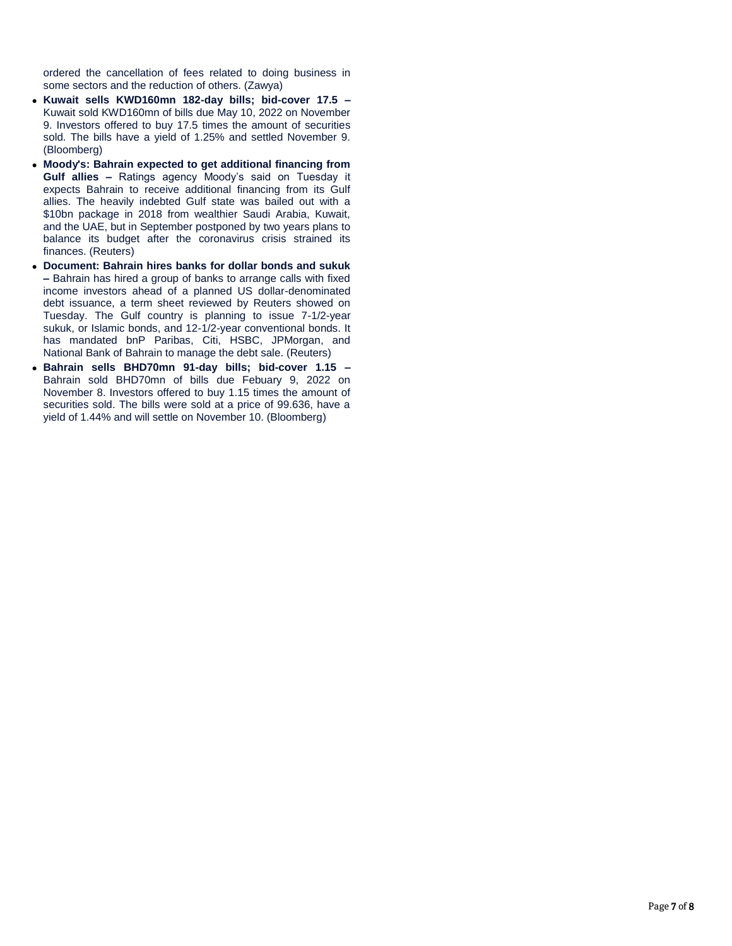ordered the cancellation of fees related to doing business in some sectors and the reduction of others. (Zawya)

- **Kuwait sells KWD160mn 182-day bills; bid-cover 17.5 –** Kuwait sold KWD160mn of bills due May 10, 2022 on November 9. Investors offered to buy 17.5 times the amount of securities sold. The bills have a yield of 1.25% and settled November 9. (Bloomberg)
- **Moody's: Bahrain expected to get additional financing from Gulf allies –** Ratings agency Moody's said on Tuesday it expects Bahrain to receive additional financing from its Gulf allies. The heavily indebted Gulf state was bailed out with a \$10bn package in 2018 from wealthier Saudi Arabia, Kuwait, and the UAE, but in September postponed by two years plans to balance its budget after the coronavirus crisis strained its finances. (Reuters)
- **Document: Bahrain hires banks for dollar bonds and sukuk –** Bahrain has hired a group of banks to arrange calls with fixed income investors ahead of a planned US dollar-denominated debt issuance, a term sheet reviewed by Reuters showed on Tuesday. The Gulf country is planning to issue 7-1/2-year sukuk, or Islamic bonds, and 12-1/2-year conventional bonds. It has mandated bnP Paribas, Citi, HSBC, JPMorgan, and National Bank of Bahrain to manage the debt sale. (Reuters)
- **Bahrain sells BHD70mn 91-day bills; bid-cover 1.15 –** Bahrain sold BHD70mn of bills due Febuary 9, 2022 on November 8. Investors offered to buy 1.15 times the amount of securities sold. The bills were sold at a price of 99.636, have a yield of 1.44% and will settle on November 10. (Bloomberg)